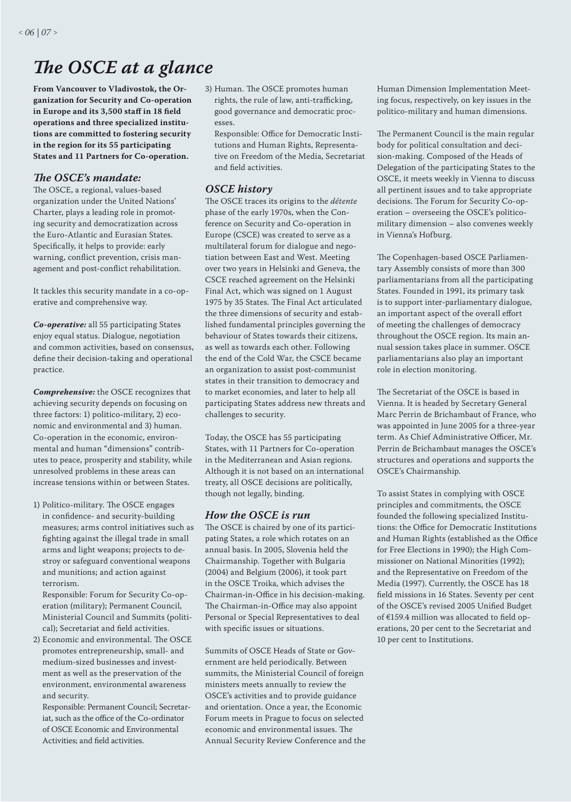# *The OSCE at a glance*

**From Vancouver to Vladivostok, the Organization for Security and Co-operation in Europe and its 3,500 staff in 18 field operations and three specialized institutions are committed to fostering security in the region for its 55 participating States and 11 Partners for Co-operation.**

#### *The OSCE's mandate:*

The OSCE, a regional, values-based organization under the United Nations' Charter, plays a leading role in promoting security and democratization across the Euro-Atlantic and Eurasian States. Specifically, it helps to provide: early warning, conflict prevention, crisis management and post-conflict rehabilitation.

It tackles this security mandate in a co-operative and comprehensive way.

*Co-operative:* all 55 participating States enjoy equal status. Dialogue, negotiation and common activities, based on consensus, define their decision-taking and operational practice.

*Comprehensive:* the OSCE recognizes that achieving security depends on focusing on three factors: 1) politico-military, 2) economic and environmental and 3) human. Co-operation in the economic, environmental and human "dimensions" contributes to peace, prosperity and stability, while unresolved problems in these areas can increase tensions within or between States.

1) Politico-military. The OSCE engages in confidence- and security-building measures; arms control initiatives such as fighting against the illegal trade in small arms and light weapons; projects to destroy or safeguard conventional weapons and munitions; and action against terrorism.

 Responsible: Forum for Security Co-operation (military); Permanent Council, Ministerial Council and Summits (political); Secretariat and field activities.

2) Economic and environmental. The OSCE promotes entrepreneurship, small- and medium-sized businesses and investment as well as the preservation of the environment, environmental awareness and security.

 Responsible: Permanent Council; Secretariat, such as the office of the Co-ordinator of OSCE Economic and Environmental Activities; and field activities.

3) Human. The OSCE promotes human rights, the rule of law, anti-trafficking, good governance and democratic processes.

 Responsible: Office for Democratic Institutions and Human Rights, Representative on Freedom of the Media, Secretariat and field activities.

### *OSCE history*

The OSCE traces its origins to the *détente* phase of the early 1970s, when the Conference on Security and Co-operation in Europe (CSCE) was created to serve as a multilateral forum for dialogue and negotiation between East and West. Meeting over two years in Helsinki and Geneva, the CSCE reached agreement on the Helsinki Final Act, which was signed on 1 August 1975 by 35 States. The Final Act articulated the three dimensions of security and established fundamental principles governing the behaviour of States towards their citizens, as well as towards each other. Following the end of the Cold War, the CSCE became an organization to assist post-communist states in their transition to democracy and to market economies, and later to help all participating States address new threats and challenges to security.

Today, the OSCE has 55 participating States, with 11 Partners for Co-operation in the Mediterranean and Asian regions. Although it is not based on an international treaty, all OSCE decisions are politically, though not legally, binding.

#### *How the OSCE is run*

The OSCE is chaired by one of its participating States, a role which rotates on an annual basis. In 2005, Slovenia held the Chairmanship. Together with Bulgaria (2004) and Belgium (2006), it took part in the OSCE Troika, which advises the Chairman-in-Office in his decision-making. The Chairman-in-Office may also appoint Personal or Special Representatives to deal with specific issues or situations.

Summits of OSCE Heads of State or Government are held periodically. Between summits, the Ministerial Council of foreign ministers meets annually to review the OSCE's activities and to provide guidance and orientation. Once a year, the Economic Forum meets in Prague to focus on selected economic and environmental issues. The Annual Security Review Conference and the Human Dimension Implementation Meeting focus, respectively, on key issues in the politico-military and human dimensions.

The Permanent Council is the main regular body for political consultation and decision-making. Composed of the Heads of Delegation of the participating States to the OSCE, it meets weekly in Vienna to discuss all pertinent issues and to take appropriate decisions. The Forum for Security Co-operation – overseeing the OSCE's politicomilitary dimension – also convenes weekly in Vienna's Hofburg.

The Copenhagen-based OSCE Parliamentary Assembly consists of more than 300 parliamentarians from all the participating States. Founded in 1991, its primary task is to support inter-parliamentary dialogue, an important aspect of the overall effort of meeting the challenges of democracy throughout the OSCE region. Its main annual session takes place in summer. OSCE parliamentarians also play an important role in election monitoring.

The Secretariat of the OSCE is based in Vienna. It is headed by Secretary General Marc Perrin de Brichambaut of France, who was appointed in June 2005 for a three-year term. As Chief Administrative Officer, Mr. Perrin de Brichambaut manages the OSCE's structures and operations and supports the OSCE's Chairmanship.

To assist States in complying with OSCE principles and commitments, the OSCE founded the following specialized Institutions: the Office for Democratic Institutions and Human Rights (established as the Office for Free Elections in 1990); the High Commissioner on National Minorities (1992); and the Representative on Freedom of the Media (1997). Currently, the OSCE has 18 field missions in 16 States. Seventy per cent of the OSCE's revised 2005 Unified Budget of €159.4 million was allocated to field operations, 20 per cent to the Secretariat and 10 per cent to Institutions.